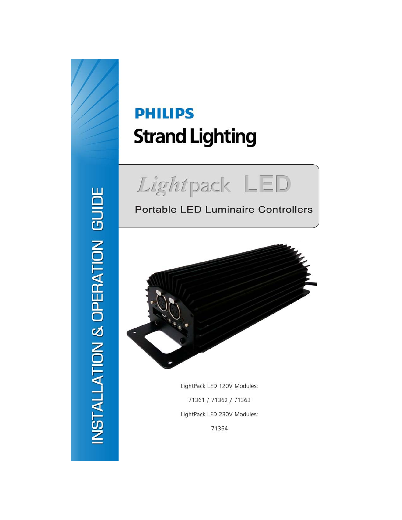# NSTALLATION & OPERATION GUIDE

# **PHILIPS Strand Lighting**



# **Portable LED Luminaire Controllers**



LightPack LED 120V Modules: 71361 / 71362 / 71363 LightPack LED 230V Modules: 71364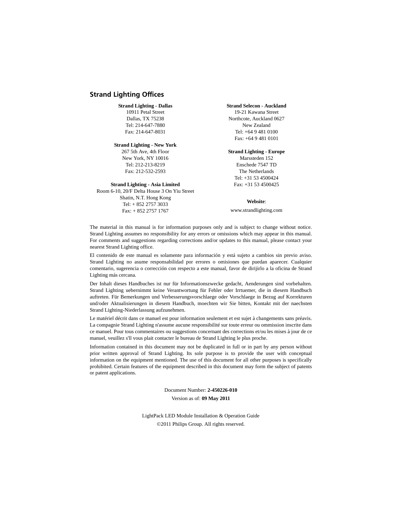### <span id="page-1-0"></span>**Strand Lighting Offices**

### **Strand Lighting - Dallas**

10911 Petal Street Dallas, TX 75238 Tel: 214-647-7880 Fax: 214-647-8031

### **Strand Lighting - New York**

267 5th Ave, 4th Floor New York, NY 10016 Tel: 212-213-8219 Fax: 212-532-2593

### **Strand Lighting - Asia Limited**

Room 6-10, 20/F Delta House 3 On Yiu Street Shatin, N.T. Hong Kong Tel: + 852 2757 3033 Fax: + 852 2757 1767

### **Strand Selecon - Auckland**

19-21 Kawana Street Northcote, Auckland 0627 New Zealand Tel: +64 9 481 0100 Fax: +64 9 481 0101

### **Strand Lighting - Europe**

Marssteden 152 Enschede 7547 TD The Netherlands Tel: +31 53 4500424 Fax: +31 53 4500425

### **Website**:

www.strandlighting.com

The material in this manual is for information purposes only and is subject to change without notice. Strand Lighting assumes no responsibility for any errors or omissions which may appear in this manual. For comments and suggestions regarding corrections and/or updates to this manual, please contact your nearest Strand Lighting office.

El contenido de este manual es solamente para información y está sujeto a cambios sin previo aviso. Strand Lighting no asume responsabilidad por errores o omisiones que puedan aparecer. Cualquier comentario, sugerencia o corrección con respecto a este manual, favor de dirijirlo a la oficina de Strand Lighting más cercana.

Der Inhalt dieses Handbuches ist nur für Informationszwecke gedacht, Aenderungen sind vorbehalten. Strand Lighting uebernimmt keine Verantwortung für Fehler oder Irrtuemer, die in diesem Handbuch auftreten. Für Bemerkungen und Verbesserungsvorschlaege oder Vorschlaege in Bezug auf Korrekturen und/oder Aktualisierungen in diesem Handbuch, moechten wir Sie bitten, Kontakt mit der naechsten Strand Lighting-Niederlassung aufzunehmen.

Le matériel décrit dans ce manuel est pour information seulement et est sujet à changements sans préavis. La compagnie Strand Lighting n'assume aucune responsibilité sur toute erreur ou ommission inscrite dans ce manuel. Pour tous commentaires ou suggestions concernant des corrections et/ou les mises à jour de ce manuel, veuillez s'll vous plait contacter le bureau de Strand Lighting le plus proche.

Information contained in this document may not be duplicated in full or in part by any person without prior written approval of Strand Lighting. Its sole purpose is to provide the user with conceptual information on the equipment mentioned. The use of this document for all other purposes is specifically prohibited. Certain features of the equipment described in this document may form the subject of patents or patent applications.

> Document Number: **2-450226-010** Version as of: **09 May 2011**

LightPack LED Module Installation & Operation Guide ©2011 Philips Group. All rights reserved.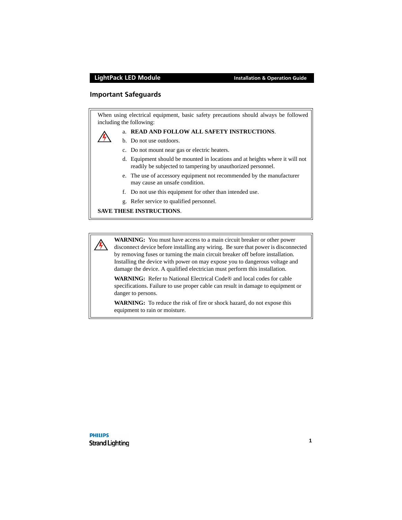### <span id="page-2-0"></span>**Important Safeguards**

When using electrical equipment, basic safety precautions should always be followed including the following:



### a. **READ AND FOLLOW ALL SAFETY INSTRUCTIONS**.

- b. Do not use outdoors.
- c. Do not mount near gas or electric heaters.
- d. Equipment should be mounted in locations and at heights where it will not readily be subjected to tampering by unauthorized personnel.
- e. The use of accessory equipment not recommended by the manufacturer may cause an unsafe condition.
- f. Do not use this equipment for other than intended use.
- g. Refer service to qualified personnel.

### **SAVE THESE INSTRUCTIONS**.

**WARNING:** You must have access to a main circuit breaker or other power disconnect device before installing any wiring. Be sure that power is disconnected by removing fuses or turning the main circuit breaker off before installation. Installing the device with power on may expose you to dangerous voltage and damage the device. A qualified electrician must perform this installation.

**WARNING:** Refer to National Electrical Code® and local codes for cable specifications. Failure to use proper cable can result in damage to equipment or danger to persons.

**WARNING:** To reduce the risk of fire or shock hazard, do not expose this equipment to rain or moisture.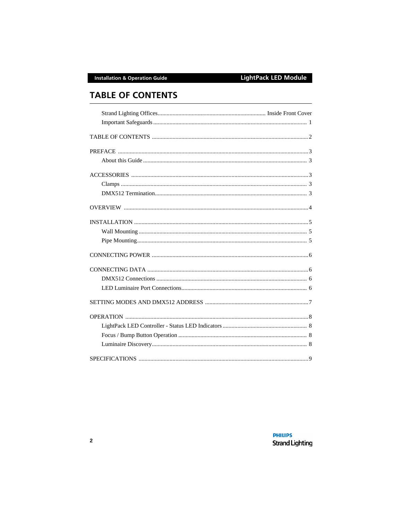# <span id="page-3-0"></span>**TABLE OF CONTENTS**

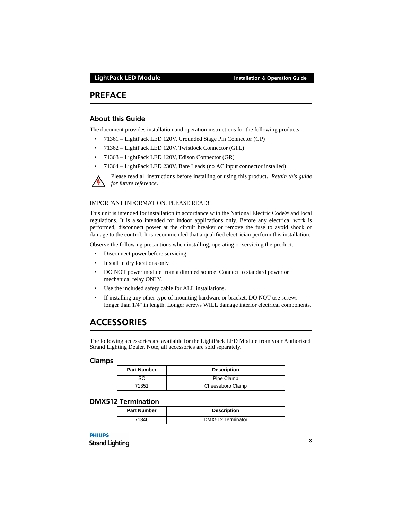## <span id="page-4-0"></span>**PREFACE**

### <span id="page-4-1"></span>**About this Guide**

The document provides installation and operation instructions for the following products:

- 71361 LightPack LED 120V, Grounded Stage Pin Connector (GP)
- 71362 LightPack LED 120V, Twistlock Connector (GTL)
- 71363 LightPack LED 120V, Edison Connector (GR)
- 71364 LightPack LED 230V, Bare Leads (no AC input connector installed)



Please read all instructions before installing or using this product. *Retain this guide for future reference*.

### IMPORTANT INFORMATION. PLEASE READ!

This unit is intended for installation in accordance with the National Electric Code® and local regulations. It is also intended for indoor applications only. Before any electrical work is performed, disconnect power at the circuit breaker or remove the fuse to avoid shock or damage to the control. It is recommended that a qualified electrician perform this installation.

Observe the following precautions when installing, operating or servicing the product:

- Disconnect power before servicing.
- Install in dry locations only.
- DO NOT power module from a dimmed source. Connect to standard power or mechanical relay ONLY.
- Use the included safety cable for ALL installations.
- If installing any other type of mounting hardware or bracket, DO NOT use screws longer than 1/4" in length. Longer screws WILL damage interior electrical components.

# <span id="page-4-2"></span>**ACCESSORIES**

The following accessories are available for the LightPack LED Module from your Authorized Strand Lighting Dealer. Note, all accessories are sold separately.

### <span id="page-4-3"></span>**Clamps**

| <b>Part Number</b> | <b>Description</b> |
|--------------------|--------------------|
| SC                 | Pipe Clamp         |
| 71351              | Cheeseboro Clamp   |

### <span id="page-4-4"></span>**DMX512 Termination**

| <b>Part Number</b> | <b>Description</b> |
|--------------------|--------------------|
| 71346              | DMX512 Terminator  |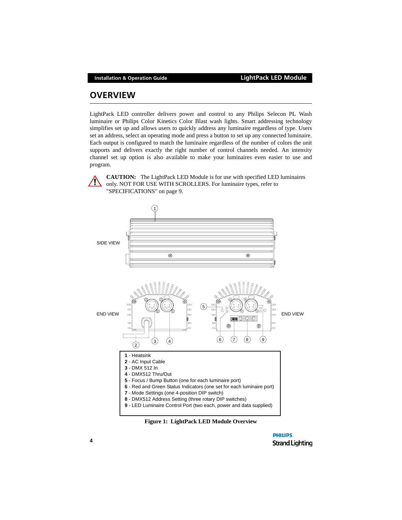# <span id="page-5-0"></span>**OVERVIEW**

LightPack LED controller delivers power and control to any Philips Selecon PL Wash luminaire or Philips Color Kinetics Color Blast wash lights. Smart addressing technology simplifies set up and allows users to quickly address any luminaire regardless of type. Users set an address, select an operating mode and press a button to set up any connected luminaire. Each output is configured to match the luminaire regardless of the number of colors the unit supports and delivers exactly the right number of control channels needed. An intensity channel set up option is also available to make your luminaires even easier to use and program.



**CAUTION:** The LightPack LED Module is for use with specified LED luminaires only. NOT FOR USE WITH SCROLLERS. For luminaire types, refer to ["SPECIFICATIONS" on page 9.](#page-10-0)



### **Figure 1: LightPack LED Module Overview**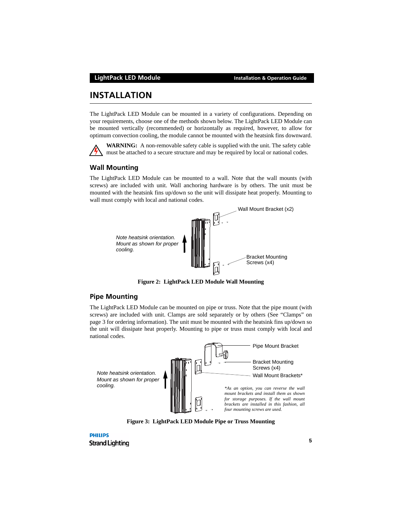### **LightPack LED Module Installation & Operation Guide**

# <span id="page-6-0"></span>**INSTALLATION**

The LightPack LED Module can be mounted in a variety of configurations. Depending on your requirements, choose one of the methods shown below. The LightPack LED Module can be mounted vertically (recommended) or horizontally as required, however, to allow for optimum convection cooling, the module cannot be mounted with the heatsink fins downward.



**WARNING:** A non-removable safety cable is supplied with the unit. The safety cable must be attached to a secure structure and may be required by local or national codes.

### <span id="page-6-1"></span>**Wall Mounting**

The LightPack LED Module can be mounted to a wall. Note that the wall mounts (with screws) are included with unit. Wall anchoring hardware is by others. The unit must be mounted with the heatsink fins up/down so the unit will dissipate heat properly. Mounting to wall must comply with local and national codes.



**Figure 2: LightPack LED Module Wall Mounting**

### <span id="page-6-2"></span>**Pipe Mounting**

The LightPack LED Module can be mounted on pipe or truss. Note that the pipe mount (with screws) are included with unit. Clamps are sold separately or by others ([See "Clamps" on](#page-4-3) [page 3](#page-4-3) for ordering information). The unit must be mounted with the heatsink fins up/down so the unit will dissipate heat properly. Mounting to pipe or truss must comply with local and national codes.



**Figure 3: LightPack LED Module Pipe or Truss Mounting**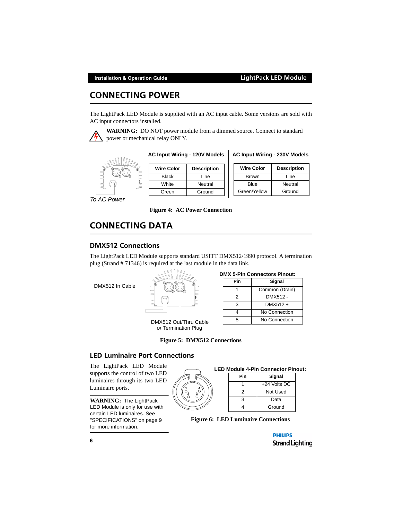# <span id="page-7-0"></span>**CONNECTING POWER**

The LightPack LED Module is supplied with an AC input cable. Some versions are sold with AC input connectors installed.



**WARNING:** DO NOT power module from a dimmed source. Connect to standard power or mechanical relay ONLY.



**AC Input Wiring - 120V Models**

| <b>Wire Color</b> | <b>Description</b> |
|-------------------|--------------------|
| <b>Black</b>      | Line               |
| White             | Neutral            |
| Green             | Ground             |

**AC Input Wiring - 230V Models**

| <b>Wire Color</b> | <b>Description</b> |
|-------------------|--------------------|
| <b>Brown</b>      | Line               |
| Blue              | Neutral            |
| Green/Yellow      | Ground             |

*To AC Power*

**Figure 4: AC Power Connection** 

# <span id="page-7-1"></span>**CONNECTING DATA**

### <span id="page-7-2"></span>**DMX512 Connections**

The LightPack LED Module supports standard USITT DMX512/1990 protocol. A termination plug (Strand # 71346) is required at the last module in the data link.

DMX512 In Cable



DMX512 Out/Thru Cable *or* Termination Plug

|  | <b>DMX 5-Pin Connectors Pinout:</b> |  |  |  |  |  |
|--|-------------------------------------|--|--|--|--|--|
|  |                                     |  |  |  |  |  |

| Pin | Signal         |
|-----|----------------|
|     | Common (Drain) |
| 2   | DMX512 -       |
| з   | DMX512 +       |
|     | No Connection  |
| г,  | No Connection  |

| <b>Figure 5: DMX512 Connections</b> |  |
|-------------------------------------|--|
|-------------------------------------|--|

### <span id="page-7-3"></span>**LED Luminaire Port Connections**

The LightPack LED Module supports the control of two LED luminaires through its two LED Luminaire ports.

**WARNING:** The LightPack LED Module is only for use with certain LED luminaires. See ["SPECIFICATIONS" on page 9](#page-10-0)  for more information.



### **LED Module 4-Pin Connector Pinout:**

| Pin | Signal       |
|-----|--------------|
|     | +24 Volts DC |
| 2   | Not Used     |
| з   | Data         |
|     | Ground       |

**Figure 6: LED Luminaire Connections**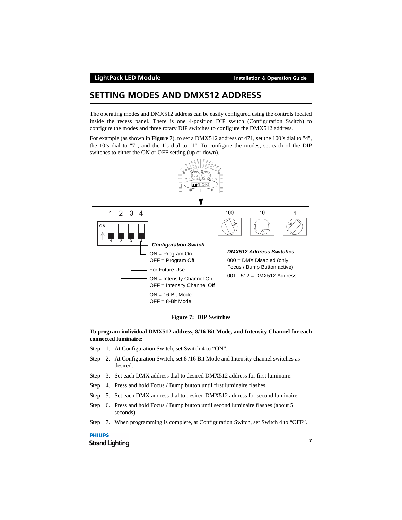# <span id="page-8-0"></span>**SETTING MODES AND DMX512 ADDRESS**

The operating modes and DMX512 address can be easily configured using the controls located inside the recess panel. There is one 4-position DIP switch (Configuration Switch) to configure the modes and three rotary DIP switches to configure the DMX512 address.

For example (as shown in **[Figure 7](#page-8-1)**), to set a DMX512 address of 471, set the 100's dial to "4", the 10's dial to "7", and the 1's dial to "1". To configure the modes, set each of the DIP switches to either the ON or OFF setting (up or down).





### <span id="page-8-1"></span>**To program individual DMX512 address, 8/16 Bit Mode, and Intensity Channel for each connected luminaire:**

- Step 1. At Configuration Switch, set Switch 4 to "ON".
- Step 2. At Configuration Switch, set 8 /16 Bit Mode and Intensity channel switches as desired.
- Step 3. Set each DMX address dial to desired DMX512 address for first luminaire.
- Step 4. Press and hold Focus / Bump button until first luminaire flashes.
- Step 5. Set each DMX address dial to desired DMX512 address for second luminaire.
- Step 6. Press and hold Focus / Bump button until second luminaire flashes (about 5 seconds).
- Step 7. When programming is complete, at Configuration Switch, set Switch 4 to "OFF".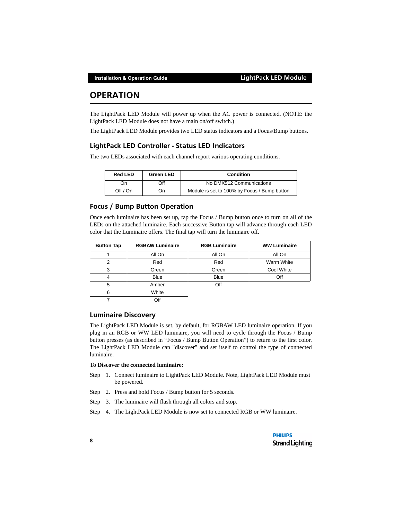# <span id="page-9-0"></span>**OPERATION**

The LightPack LED Module will power up when the AC power is connected. (NOTE: the LightPack LED Module does not have a main on/off switch.)

The LightPack LED Module provides two LED status indicators and a Focus/Bump buttons.

### <span id="page-9-1"></span>**LightPack LED Controller - Status LED Indicators**

The two LEDs associated with each channel report various operating conditions.

| <b>Red LED</b> | <b>Green LED</b> | Condition                                    |
|----------------|------------------|----------------------------------------------|
| On             | Эff              | No DMX512 Communications                     |
| Off / On       | On               | Module is set to 100% by Focus / Bump button |

### <span id="page-9-2"></span>**Focus / Bump Button Operation**

Once each luminaire has been set up, tap the Focus / Bump button once to turn on all of the LEDs on the attached luminaire. Each successive Button tap will advance through each LED color that the Luminaire offers. The final tap will turn the luminaire off.

| <b>Button Tap</b> | <b>RGBAW Luminaire</b> | <b>RGB Luminaire</b> | <b>WW Luminaire</b> |
|-------------------|------------------------|----------------------|---------------------|
|                   | All On                 | All On               | All On              |
| 2                 | Red                    | Red                  | Warm White          |
| 3                 | Green                  | Green                | Cool White          |
| 4                 | <b>Blue</b>            | <b>Blue</b>          | Off                 |
| 5                 | Amber                  | Off                  |                     |
| 6                 | White                  |                      |                     |
|                   | Off                    |                      |                     |

### <span id="page-9-3"></span>**Luminaire Discovery**

The LightPack LED Module is set, by default, for RGBAW LED luminaire operation. If you plug in an RGB or WW LED luminaire, you will need to cycle through the Focus / Bump button presses (as described in ["Focus / Bump Button Operation"](#page-9-2)) to return to the first color. The LightPack LED Module can "discover" and set itself to control the type of connected luminaire.

### **To Discover the connected luminaire:**

- Step 1. Connect luminaire to LightPack LED Module. Note, LightPack LED Module must be powered.
- Step 2. Press and hold Focus / Bump button for 5 seconds.
- Step 3. The luminaire will flash through all colors and stop.
- Step 4. The LightPack LED Module is now set to connected RGB or WW luminaire.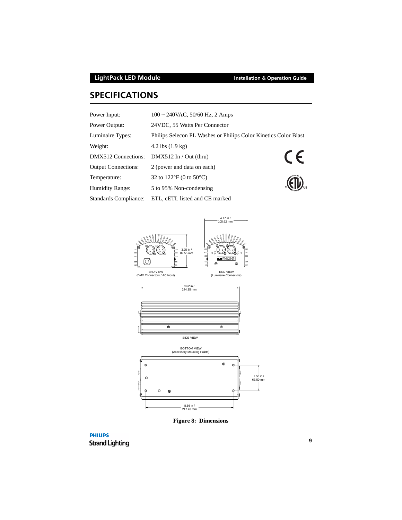# <span id="page-10-0"></span>**SPECIFICATIONS**

| Power Input:               | 100 ~ 240VAC, 50/60 Hz, 2 Amps                                  |            |
|----------------------------|-----------------------------------------------------------------|------------|
| Power Output:              | 24 VDC, 55 Watts Per Connector                                  |            |
| Luminaire Types:           | Philips Selecon PL Washes or Philips Color Kinetics Color Blast |            |
| Weight:                    | 4.2 lbs $(1.9 \text{ kg})$                                      |            |
| DMX512 Connections:        | $DMX512$ In / Out (thru)                                        | $\epsilon$ |
| <b>Output Connections:</b> | 2 (power and data on each)                                      |            |
| Temperature:               | 32 to 122°F (0 to 50°C)                                         |            |
| <b>Humidity Range:</b>     | 5 to 95% Non-condensing                                         |            |
| Standards Compliance:      | ETL, cETL listed and CE marked                                  |            |



**Figure 8: Dimensions**